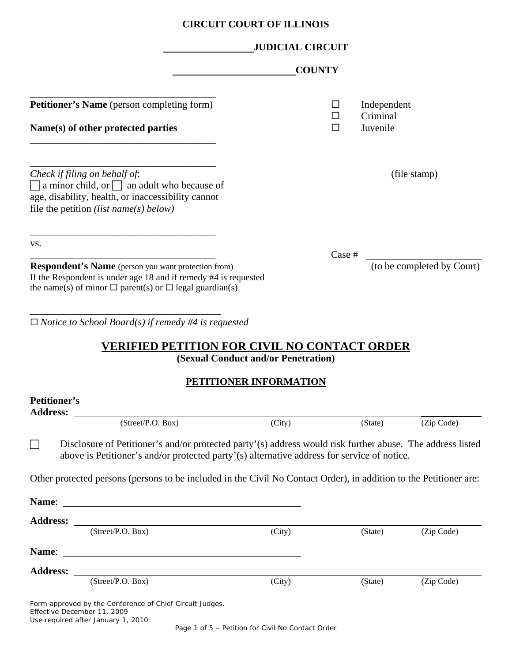|                                        |                                                                                                                                                                                                           | <b>CIRCUIT COURT OF ILLINOIS</b>    |             |                                     |                            |
|----------------------------------------|-----------------------------------------------------------------------------------------------------------------------------------------------------------------------------------------------------------|-------------------------------------|-------------|-------------------------------------|----------------------------|
|                                        |                                                                                                                                                                                                           | <b>JUDICIAL CIRCUIT</b>             |             |                                     |                            |
|                                        |                                                                                                                                                                                                           | <b>COUNTY</b>                       |             |                                     |                            |
|                                        | Petitioner's Name (person completing form)<br>Name(s) of other protected parties                                                                                                                          |                                     | ப<br>□<br>П | Independent<br>Criminal<br>Juvenile |                            |
|                                        | Check if filing on behalf of:<br>$\Box$ a minor child, or $\Box$ an adult who because of<br>age, disability, health, or inaccessibility cannot<br>file the petition <i>(list name(s) below)</i>           |                                     |             |                                     | (file stamp)               |
| VS.                                    |                                                                                                                                                                                                           |                                     | Case #      |                                     |                            |
|                                        | <b>Respondent's Name</b> (person you want protection from)<br>If the Respondent is under age 18 and if remedy #4 is requested<br>the name(s) of minor $\Box$ parent(s) or $\Box$ legal guardian(s)        |                                     |             |                                     | (to be completed by Court) |
|                                        | $\Box$ Notice to School Board(s) if remedy #4 is requested                                                                                                                                                |                                     |             |                                     |                            |
|                                        | <b>VERIFIED PETITION FOR CIVIL NO CONTACT ORDER</b>                                                                                                                                                       | (Sexual Conduct and/or Penetration) |             |                                     |                            |
|                                        |                                                                                                                                                                                                           | <b>PETITIONER INFORMATION</b>       |             |                                     |                            |
| <b>Petitioner's</b><br><b>Address:</b> |                                                                                                                                                                                                           |                                     |             |                                     |                            |
|                                        | (Street/P.O. Box)                                                                                                                                                                                         | (City)                              |             | (State)                             | (Zip Code)                 |
| $\Box$                                 | Disclosure of Petitioner's and/or protected party'(s) address would risk further abuse. The address listed<br>above is Petitioner's and/or protected party'(s) alternative address for service of notice. |                                     |             |                                     |                            |
|                                        | Other protected persons (persons to be included in the Civil No Contact Order), in addition to the Petitioner are:                                                                                        |                                     |             |                                     |                            |
| Name:                                  |                                                                                                                                                                                                           |                                     |             |                                     |                            |
|                                        | Address: <u>(Street/P.O. Box)</u>                                                                                                                                                                         | (City)                              |             | (State)                             | (Zip Code)                 |
| Name:                                  | <u> 1989 - Johann Barbara, martin amerikan basal dan berasal dan berasal dalam basal dalam basal dalam basal dala</u>                                                                                     |                                     |             |                                     |                            |
| <b>Address:</b>                        |                                                                                                                                                                                                           |                                     |             |                                     |                            |
|                                        | (Street/P.O. Box)                                                                                                                                                                                         | (City)                              |             | (State)                             | (Zip Code)                 |

| Form approved by the Conference of Chief Circuit Judges. |
|----------------------------------------------------------|
| Effective December 11, 2009                              |
| Use required after January 1, 2010                       |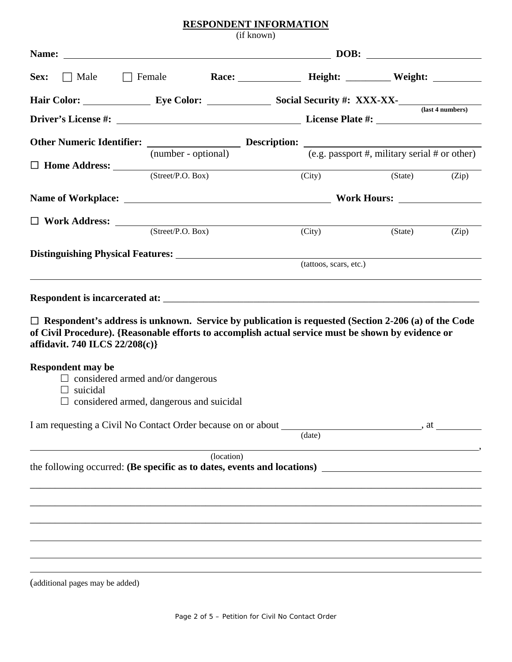## **RESPONDENT INFORMATION**

|                                                                                                                                                                                                                                                    |                                                                                             | (if known) |                        |         |       |
|----------------------------------------------------------------------------------------------------------------------------------------------------------------------------------------------------------------------------------------------------|---------------------------------------------------------------------------------------------|------------|------------------------|---------|-------|
|                                                                                                                                                                                                                                                    |                                                                                             |            |                        |         |       |
| Sex:                                                                                                                                                                                                                                               | $\Box$ Male $\Box$ Female                                                                   |            | Race: Height: Weight:  |         |       |
| Hair Color: <u>Eye Color: Social Security #: XXX-XX-</u>                                                                                                                                                                                           |                                                                                             |            |                        |         |       |
|                                                                                                                                                                                                                                                    |                                                                                             |            |                        |         |       |
| Other Numeric Identifier: $\frac{1}{(number - optional)}$ Description: $\frac{1}{(e.g. passport #, military serial # or other)}$                                                                                                                   |                                                                                             |            |                        |         |       |
|                                                                                                                                                                                                                                                    |                                                                                             |            |                        |         |       |
|                                                                                                                                                                                                                                                    |                                                                                             |            | (City)                 | (State) | (Zip) |
|                                                                                                                                                                                                                                                    |                                                                                             |            |                        |         |       |
|                                                                                                                                                                                                                                                    |                                                                                             |            |                        |         |       |
| $\Box$ Work Address: $(Street / P.O. Box)$ (City)                                                                                                                                                                                                  |                                                                                             |            |                        | (State) | (Zip) |
|                                                                                                                                                                                                                                                    |                                                                                             |            | (tattoos, scars, etc.) |         |       |
|                                                                                                                                                                                                                                                    |                                                                                             |            |                        |         |       |
|                                                                                                                                                                                                                                                    |                                                                                             |            |                        |         |       |
| $\Box$ Respondent's address is unknown. Service by publication is requested (Section 2-206 (a) of the Code<br>of Civil Procedure). {Reasonable efforts to accomplish actual service must be shown by evidence or<br>affidavit. 740 ILCS 22/208(c)} |                                                                                             |            |                        |         |       |
| <b>Respondent may be</b><br>$\Box$ suicidal                                                                                                                                                                                                        | $\Box$ considered armed and/or dangerous<br>$\Box$ considered armed, dangerous and suicidal |            |                        |         |       |
|                                                                                                                                                                                                                                                    |                                                                                             |            |                        |         |       |
|                                                                                                                                                                                                                                                    |                                                                                             |            | (data)                 |         |       |
|                                                                                                                                                                                                                                                    |                                                                                             | (location) |                        |         |       |
|                                                                                                                                                                                                                                                    |                                                                                             |            |                        |         |       |
|                                                                                                                                                                                                                                                    |                                                                                             |            |                        |         |       |
|                                                                                                                                                                                                                                                    |                                                                                             |            |                        |         |       |
|                                                                                                                                                                                                                                                    |                                                                                             |            |                        |         |       |
|                                                                                                                                                                                                                                                    |                                                                                             |            |                        |         |       |
|                                                                                                                                                                                                                                                    |                                                                                             |            |                        |         |       |

(additional pages may be added)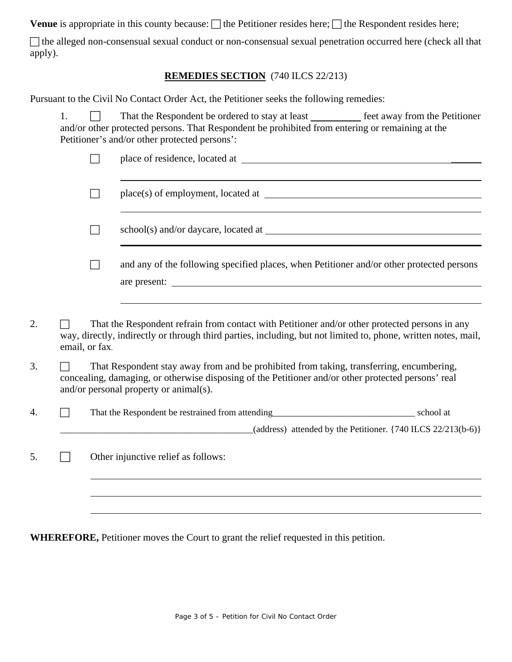**Venue** is appropriate in this county because:  $\Box$  the Petitioner resides here;  $\Box$  the Respondent resides here;

The alleged non-consensual sexual conduct or non-consensual sexual penetration occurred here (check all that apply).

## **REMEDIES SECTION** (740 ILCS 22/213)

Pursuant to the Civil No Contact Order Act, the Petitioner seeks the following remedies:

|  | That the Respondent be ordered to stay at least                                                 | feet away from the Petitioner |
|--|-------------------------------------------------------------------------------------------------|-------------------------------|
|  | and/or other protected persons. That Respondent be prohibited from entering or remaining at the |                               |
|  | Petitioner's and/or other protected persons':                                                   |                               |

|    |                                                                                                                                                                                                                                           | and any of the following specified places, when Petitioner and/or other protected persons                                                                                                                        |  |
|----|-------------------------------------------------------------------------------------------------------------------------------------------------------------------------------------------------------------------------------------------|------------------------------------------------------------------------------------------------------------------------------------------------------------------------------------------------------------------|--|
| 2. | email, or fax.                                                                                                                                                                                                                            | That the Respondent refrain from contact with Petitioner and/or other protected persons in any<br>way, directly, indirectly or through third parties, including, but not limited to, phone, written notes, mail, |  |
| 3. | That Respondent stay away from and be prohibited from taking, transferring, encumbering,<br>concealing, damaging, or otherwise disposing of the Petitioner and/or other protected persons' real<br>and/or personal property or animal(s). |                                                                                                                                                                                                                  |  |
| 4. |                                                                                                                                                                                                                                           | That the Respondent be restrained from attending<br><u>Example 2014</u> School at<br>(address) attended by the Petitioner. $\{740$ ILCS $22/213(b-6)\}$                                                          |  |
| 5. |                                                                                                                                                                                                                                           | Other injunctive relief as follows:                                                                                                                                                                              |  |
|    |                                                                                                                                                                                                                                           |                                                                                                                                                                                                                  |  |

**WHEREFORE,** Petitioner moves the Court to grant the relief requested in this petition.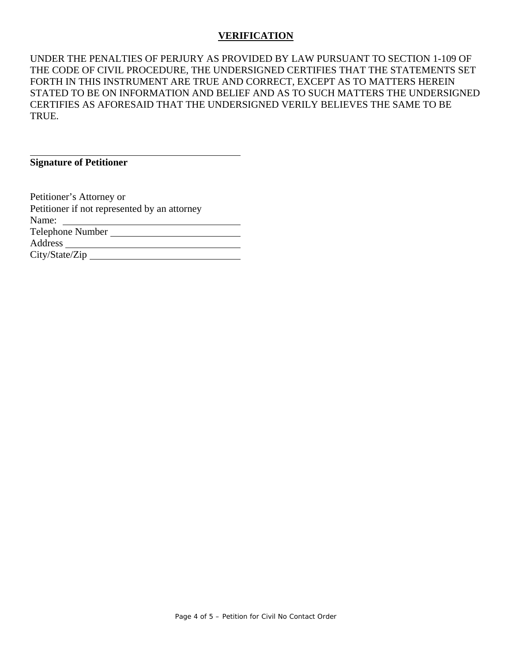## **VERIFICATION**

UNDER THE PENALTIES OF PERJURY AS PROVIDED BY LAW PURSUANT TO SECTION 1-109 OF THE CODE OF CIVIL PROCEDURE, THE UNDERSIGNED CERTIFIES THAT THE STATEMENTS SET FORTH IN THIS INSTRUMENT ARE TRUE AND CORRECT, EXCEPT AS TO MATTERS HEREIN STATED TO BE ON INFORMATION AND BELIEF AND AS TO SUCH MATTERS THE UNDERSIGNED CERTIFIES AS AFORESAID THAT THE UNDERSIGNED VERILY BELIEVES THE SAME TO BE TRUE.

**Signature of Petitioner** 

 $\overline{a}$ 

Petitioner's Attorney or Petitioner if not represented by an attorney Name: Telephone Number Address City/State/Zip